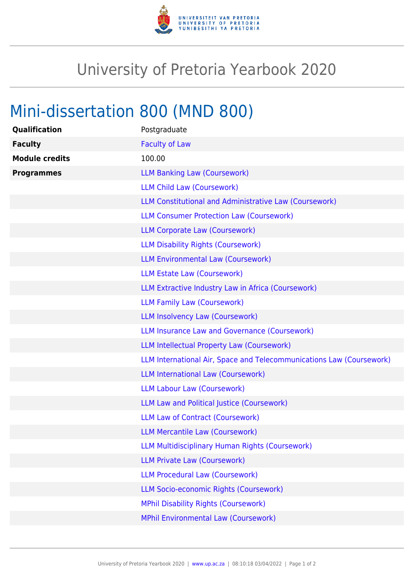

## University of Pretoria Yearbook 2020

## Mini-dissertation 800 (MND 800)

| Qualification         | Postgraduate                                                         |
|-----------------------|----------------------------------------------------------------------|
| <b>Faculty</b>        | <b>Faculty of Law</b>                                                |
| <b>Module credits</b> | 100.00                                                               |
| <b>Programmes</b>     | <b>LLM Banking Law (Coursework)</b>                                  |
|                       | <b>LLM Child Law (Coursework)</b>                                    |
|                       | LLM Constitutional and Administrative Law (Coursework)               |
|                       | <b>LLM Consumer Protection Law (Coursework)</b>                      |
|                       | <b>LLM Corporate Law (Coursework)</b>                                |
|                       | <b>LLM Disability Rights (Coursework)</b>                            |
|                       | <b>LLM Environmental Law (Coursework)</b>                            |
|                       | <b>LLM Estate Law (Coursework)</b>                                   |
|                       | LLM Extractive Industry Law in Africa (Coursework)                   |
|                       | <b>LLM Family Law (Coursework)</b>                                   |
|                       | <b>LLM Insolvency Law (Coursework)</b>                               |
|                       | LLM Insurance Law and Governance (Coursework)                        |
|                       | <b>LLM Intellectual Property Law (Coursework)</b>                    |
|                       | LLM International Air, Space and Telecommunications Law (Coursework) |
|                       | <b>LLM International Law (Coursework)</b>                            |
|                       | <b>LLM Labour Law (Coursework)</b>                                   |
|                       | LLM Law and Political Justice (Coursework)                           |
|                       | <b>LLM Law of Contract (Coursework)</b>                              |
|                       | <b>LLM Mercantile Law (Coursework)</b>                               |
|                       | LLM Multidisciplinary Human Rights (Coursework)                      |
|                       | <b>LLM Private Law (Coursework)</b>                                  |
|                       | <b>LLM Procedural Law (Coursework)</b>                               |
|                       | LLM Socio-economic Rights (Coursework)                               |
|                       | <b>MPhil Disability Rights (Coursework)</b>                          |
|                       | <b>MPhil Environmental Law (Coursework)</b>                          |
|                       |                                                                      |